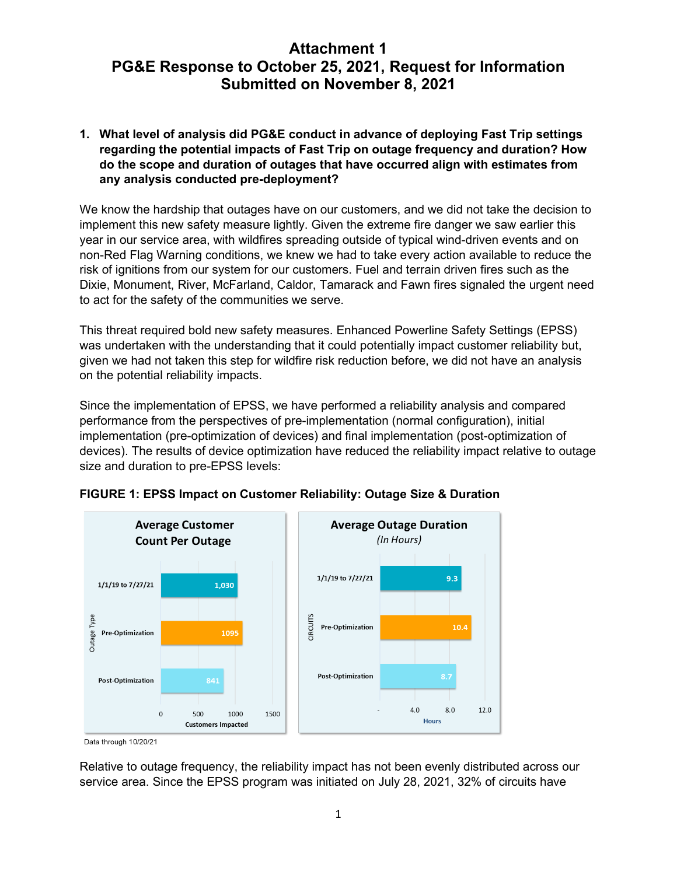# **Attachment 1 PG&E Response to October 25, 2021, Request for Information Submitted on November 8, 2021**

**1. What level of analysis did PG&E conduct in advance of deploying Fast Trip settings regarding the potential impacts of Fast Trip on outage frequency and duration? How do the scope and duration of outages that have occurred align with estimates from any analysis conducted pre-deployment?**

We know the hardship that outages have on our customers, and we did not take the decision to implement this new safety measure lightly. Given the extreme fire danger we saw earlier this year in our service area, with wildfires spreading outside of typical wind-driven events and on non-Red Flag Warning conditions, we knew we had to take every action available to reduce the risk of ignitions from our system for our customers. Fuel and terrain driven fires such as the Dixie, Monument, River, McFarland, Caldor, Tamarack and Fawn fires signaled the urgent need to act for the safety of the communities we serve.

This threat required bold new safety measures. Enhanced Powerline Safety Settings (EPSS) was undertaken with the understanding that it could potentially impact customer reliability but, given we had not taken this step for wildfire risk reduction before, we did not have an analysis on the potential reliability impacts.

Since the implementation of EPSS, we have performed a reliability analysis and compared performance from the perspectives of pre-implementation (normal configuration), initial implementation (pre-optimization of devices) and final implementation (post-optimization of devices). The results of device optimization have reduced the reliability impact relative to outage size and duration to pre-EPSS levels:



## **FIGURE 1: EPSS Impact on Customer Reliability: Outage Size & Duration**

Relative to outage frequency, the reliability impact has not been evenly distributed across our service area. Since the EPSS program was initiated on July 28, 2021, 32% of circuits have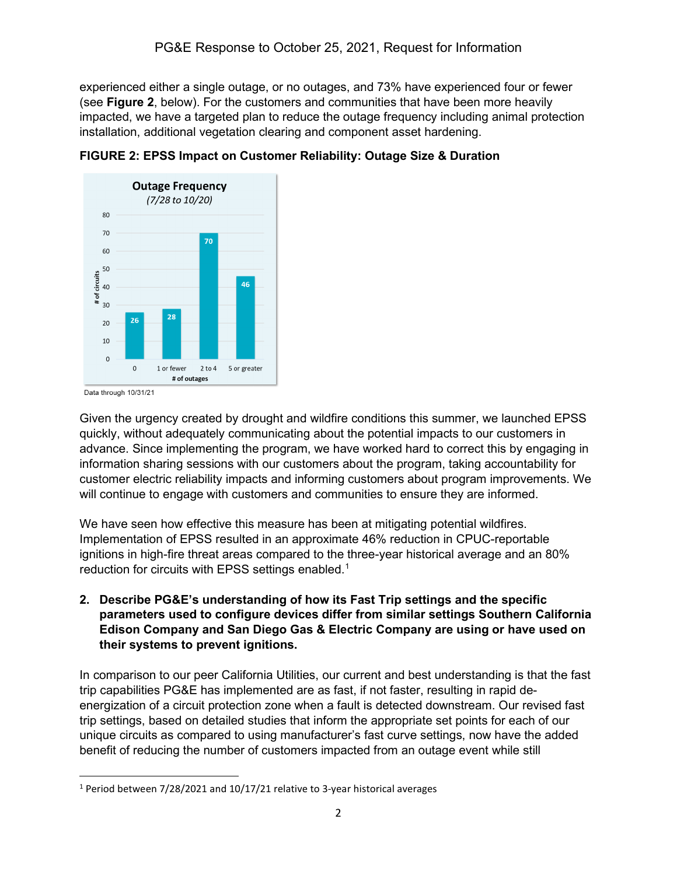experienced either a single outage, or no outages, and 73% have experienced four or fewer (see **Figure 2**, below). For the customers and communities that have been more heavily impacted, we have a targeted plan to reduce the outage frequency including animal protection installation, additional vegetation clearing and component asset hardening.





Given the urgency created by drought and wildfire conditions this summer, we launched EPSS quickly, without adequately communicating about the potential impacts to our customers in advance. Since implementing the program, we have worked hard to correct this by engaging in information sharing sessions with our customers about the program, taking accountability for customer electric reliability impacts and informing customers about program improvements. We will continue to engage with customers and communities to ensure they are informed.

We have seen how effective this measure has been at mitigating potential wildfires. Implementation of EPSS resulted in an approximate 46% reduction in CPUC-reportable ignitions in high-fire threat areas compared to the three-year historical average and an 80% reduction for circuits with EPSS settings enabled.<sup>[1](#page-1-0)</sup>

**2. Describe PG&E's understanding of how its Fast Trip settings and the specific parameters used to configure devices differ from similar settings Southern California Edison Company and San Diego Gas & Electric Company are using or have used on their systems to prevent ignitions.**

In comparison to our peer California Utilities, our current and best understanding is that the fast trip capabilities PG&E has implemented are as fast, if not faster, resulting in rapid deenergization of a circuit protection zone when a fault is detected downstream. Our revised fast trip settings, based on detailed studies that inform the appropriate set points for each of our unique circuits as compared to using manufacturer's fast curve settings, now have the added benefit of reducing the number of customers impacted from an outage event while still

<span id="page-1-0"></span><sup>1</sup> Period between 7/28/2021 and 10/17/21 relative to 3-year historical averages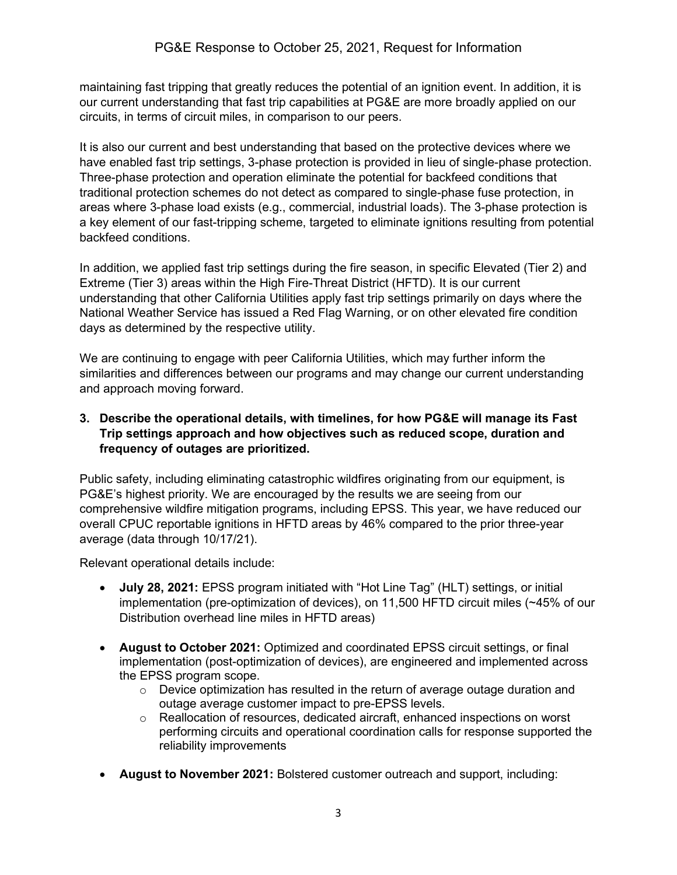maintaining fast tripping that greatly reduces the potential of an ignition event. In addition, it is our current understanding that fast trip capabilities at PG&E are more broadly applied on our circuits, in terms of circuit miles, in comparison to our peers.

It is also our current and best understanding that based on the protective devices where we have enabled fast trip settings, 3-phase protection is provided in lieu of single-phase protection. Three-phase protection and operation eliminate the potential for backfeed conditions that traditional protection schemes do not detect as compared to single-phase fuse protection, in areas where 3-phase load exists (e.g., commercial, industrial loads). The 3-phase protection is a key element of our fast-tripping scheme, targeted to eliminate ignitions resulting from potential backfeed conditions.

In addition, we applied fast trip settings during the fire season, in specific Elevated (Tier 2) and Extreme (Tier 3) areas within the High Fire-Threat District (HFTD). It is our current understanding that other California Utilities apply fast trip settings primarily on days where the National Weather Service has issued a Red Flag Warning, or on other elevated fire condition days as determined by the respective utility.

We are continuing to engage with peer California Utilities, which may further inform the similarities and differences between our programs and may change our current understanding and approach moving forward.

## **3. Describe the operational details, with timelines, for how PG&E will manage its Fast Trip settings approach and how objectives such as reduced scope, duration and frequency of outages are prioritized.**

Public safety, including eliminating catastrophic wildfires originating from our equipment, is PG&E's highest priority. We are encouraged by the results we are seeing from our comprehensive wildfire mitigation programs, including EPSS. This year, we have reduced our overall CPUC reportable ignitions in HFTD areas by 46% compared to the prior three-year average (data through 10/17/21).

Relevant operational details include:

- **July 28, 2021:** EPSS program initiated with "Hot Line Tag" (HLT) settings, or initial implementation (pre-optimization of devices), on 11,500 HFTD circuit miles (~45% of our Distribution overhead line miles in HFTD areas)
- **August to October 2021:** Optimized and coordinated EPSS circuit settings, or final implementation (post-optimization of devices), are engineered and implemented across the EPSS program scope.
	- $\circ$  Device optimization has resulted in the return of average outage duration and outage average customer impact to pre-EPSS levels.
	- $\circ$  Reallocation of resources, dedicated aircraft, enhanced inspections on worst performing circuits and operational coordination calls for response supported the reliability improvements
- **August to November 2021:** Bolstered customer outreach and support, including: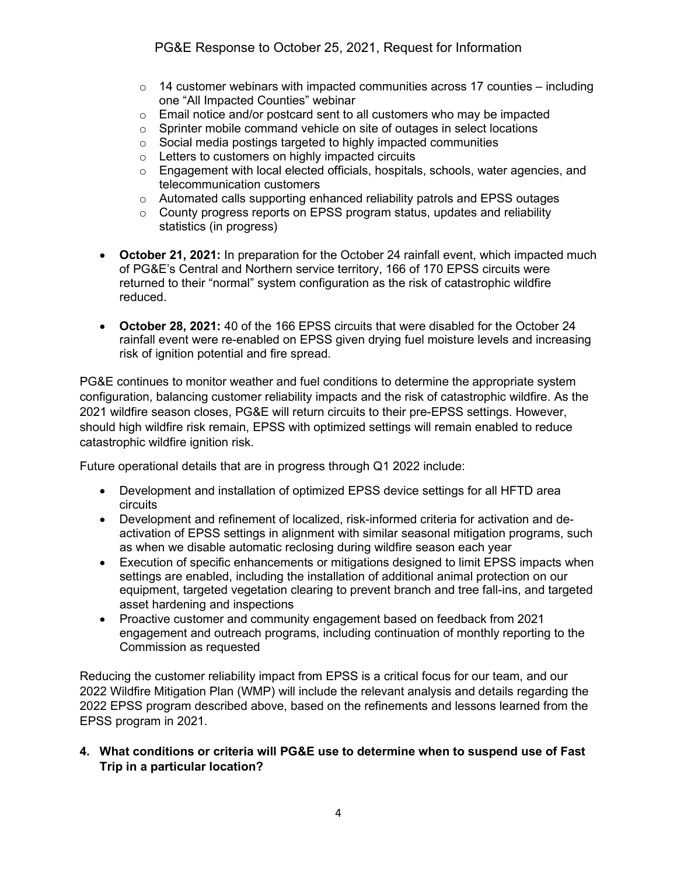- $\circ$  14 customer webinars with impacted communities across 17 counties including one "All Impacted Counties" webinar
- $\circ$  Email notice and/or postcard sent to all customers who may be impacted
- $\circ$  Sprinter mobile command vehicle on site of outages in select locations  $\circ$  Social media postings targeted to highly impacted communities
- $\circ$  Social media postings targeted to highly impacted communities  $\circ$  Letters to customers on highly impacted circuits
- Letters to customers on highly impacted circuits
- o Engagement with local elected officials, hospitals, schools, water agencies, and telecommunication customers
- $\circ$  Automated calls supporting enhanced reliability patrols and EPSS outages
- o County progress reports on EPSS program status, updates and reliability statistics (in progress)
- **October 21, 2021:** In preparation for the October 24 rainfall event, which impacted much of PG&E's Central and Northern service territory, 166 of 170 EPSS circuits were returned to their "normal" system configuration as the risk of catastrophic wildfire reduced.
- **October 28, 2021:** 40 of the 166 EPSS circuits that were disabled for the October 24 rainfall event were re-enabled on EPSS given drying fuel moisture levels and increasing risk of ignition potential and fire spread.

PG&E continues to monitor weather and fuel conditions to determine the appropriate system configuration, balancing customer reliability impacts and the risk of catastrophic wildfire. As the 2021 wildfire season closes, PG&E will return circuits to their pre-EPSS settings. However, should high wildfire risk remain, EPSS with optimized settings will remain enabled to reduce catastrophic wildfire ignition risk.

Future operational details that are in progress through Q1 2022 include:

- Development and installation of optimized EPSS device settings for all HFTD area circuits
- Development and refinement of localized, risk-informed criteria for activation and deactivation of EPSS settings in alignment with similar seasonal mitigation programs, such as when we disable automatic reclosing during wildfire season each year
- Execution of specific enhancements or mitigations designed to limit EPSS impacts when settings are enabled, including the installation of additional animal protection on our equipment, targeted vegetation clearing to prevent branch and tree fall-ins, and targeted asset hardening and inspections
- Proactive customer and community engagement based on feedback from 2021 engagement and outreach programs, including continuation of monthly reporting to the Commission as requested

Reducing the customer reliability impact from EPSS is a critical focus for our team, and our 2022 Wildfire Mitigation Plan (WMP) will include the relevant analysis and details regarding the 2022 EPSS program described above, based on the refinements and lessons learned from the EPSS program in 2021.

#### **4. What conditions or criteria will PG&E use to determine when to suspend use of Fast Trip in a particular location?**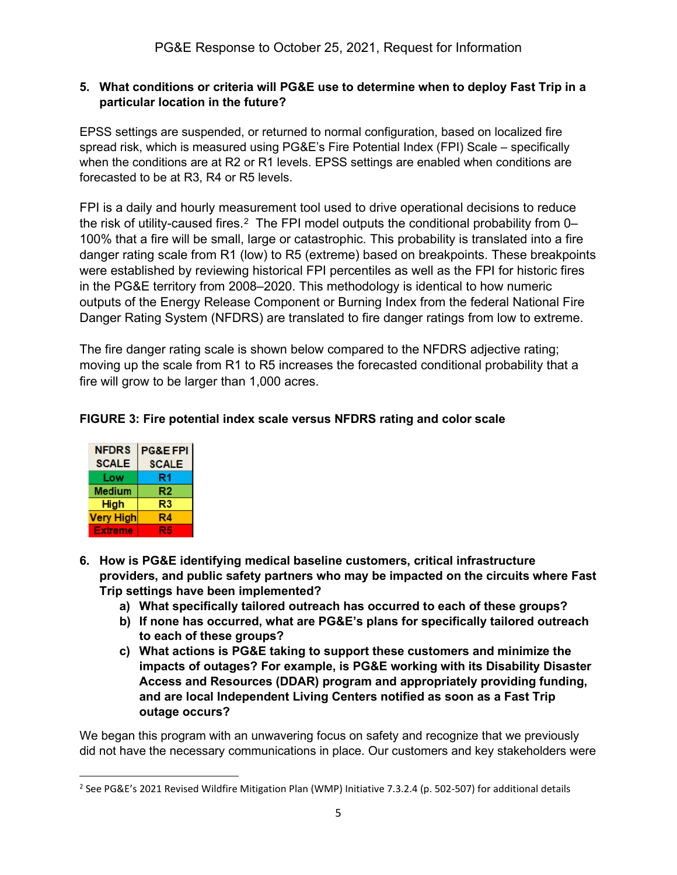### **5. What conditions or criteria will PG&E use to determine when to deploy Fast Trip in a particular location in the future?**

EPSS settings are suspended, or returned to normal configuration, based on localized fire spread risk, which is measured using PG&E's Fire Potential Index (FPI) Scale – specifically when the conditions are at R2 or R1 levels. EPSS settings are enabled when conditions are forecasted to be at R3, R4 or R5 levels.

FPI is a daily and hourly measurement tool used to drive operational decisions to reduce the risk of utility-caused fires.<sup>[2](#page-4-0)</sup> The FPI model outputs the conditional probability from  $0-$ 100% that a fire will be small, large or catastrophic. This probability is translated into a fire danger rating scale from R1 (low) to R5 (extreme) based on breakpoints. These breakpoints were established by reviewing historical FPI percentiles as well as the FPI for historic fires in the PG&E territory from 2008–2020. This methodology is identical to how numeric outputs of the Energy Release Component or Burning Index from the federal National Fire Danger Rating System (NFDRS) are translated to fire danger ratings from low to extreme.

The fire danger rating scale is shown below compared to the NFDRS adjective rating; moving up the scale from R1 to R5 increases the forecasted conditional probability that a fire will grow to be larger than 1,000 acres.

# **FIGURE 3: Fire potential index scale versus NFDRS rating and color scale**

| <b>NFDRS</b>   | <b>PG&amp;E FPI</b> |
|----------------|---------------------|
| <b>SCALE</b>   | <b>SCALE</b>        |
| Low            | R1                  |
| Medium         | R2                  |
| High           | R3                  |
| Very High      | R4                  |
| <b>Extreme</b> | R5                  |

- **6. How is PG&E identifying medical baseline customers, critical infrastructure providers, and public safety partners who may be impacted on the circuits where Fast Trip settings have been implemented?**
	- **a) What specifically tailored outreach has occurred to each of these groups?**
	- **b) If none has occurred, what are PG&E's plans for specifically tailored outreach to each of these groups?**
	- **c) What actions is PG&E taking to support these customers and minimize the impacts of outages? For example, is PG&E working with its Disability Disaster Access and Resources (DDAR) program and appropriately providing funding, and are local Independent Living Centers notified as soon as a Fast Trip outage occurs?**

We began this program with an unwavering focus on safety and recognize that we previously did not have the necessary communications in place. Our customers and key stakeholders were

<span id="page-4-0"></span><sup>&</sup>lt;sup>2</sup> See PG&E's 2021 Revised Wildfire Mitigation Plan (WMP) Initiative 7.3.2.4 (p. 502-507) for additional details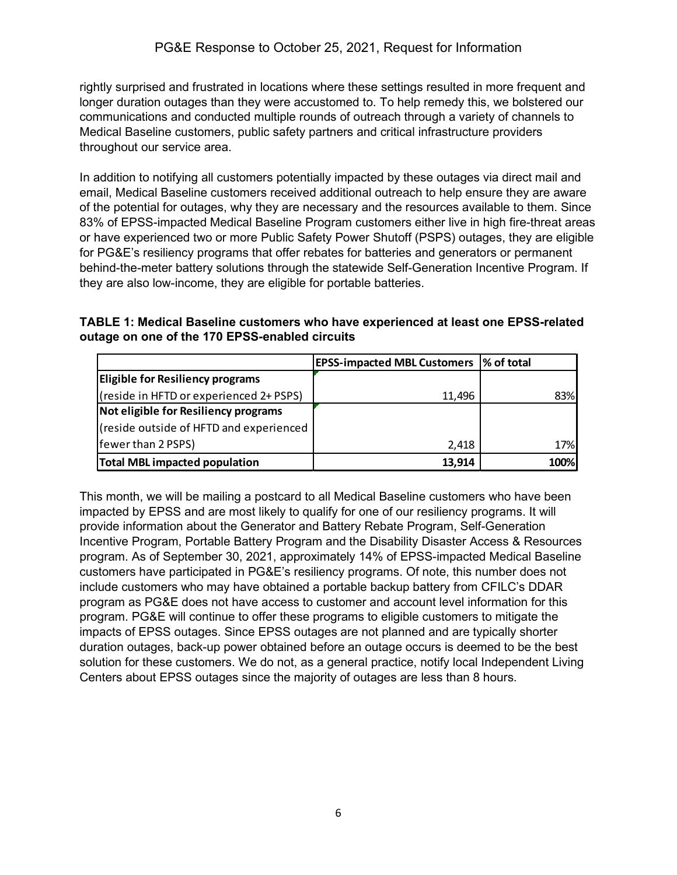rightly surprised and frustrated in locations where these settings resulted in more frequent and longer duration outages than they were accustomed to. To help remedy this, we bolstered our communications and conducted multiple rounds of outreach through a variety of channels to Medical Baseline customers, public safety partners and critical infrastructure providers throughout our service area.

In addition to notifying all customers potentially impacted by these outages via direct mail and email, Medical Baseline customers received additional outreach to help ensure they are aware of the potential for outages, why they are necessary and the resources available to them. Since 83% of EPSS-impacted Medical Baseline Program customers either live in high fire-threat areas or have experienced two or more Public Safety Power Shutoff (PSPS) outages, they are eligible for PG&E's resiliency programs that offer rebates for batteries and generators or permanent behind-the-meter battery solutions through the statewide Self-Generation Incentive Program. If they are also low-income, they are eligible for portable batteries.

**TABLE 1: Medical Baseline customers who have experienced at least one EPSS-related outage on one of the 170 EPSS-enabled circuits**

|                                         | <b>EPSS-impacted MBL Customers  % of total</b> |      |
|-----------------------------------------|------------------------------------------------|------|
| <b>Eligible for Resiliency programs</b> |                                                |      |
| (reside in HFTD or experienced 2+ PSPS) | 11,496                                         | 83%  |
| Not eligible for Resiliency programs    |                                                |      |
| (reside outside of HFTD and experienced |                                                |      |
| fewer than 2 PSPS)                      | 2,418                                          | 17%  |
| <b>Total MBL impacted population</b>    | 13,914                                         | 100% |

This month, we will be mailing a postcard to all Medical Baseline customers who have been impacted by EPSS and are most likely to qualify for one of our resiliency programs. It will provide information about the Generator and Battery Rebate Program, Self-Generation Incentive Program, Portable Battery Program and the Disability Disaster Access & Resources program. As of September 30, 2021, approximately 14% of EPSS-impacted Medical Baseline customers have participated in PG&E's resiliency programs. Of note, this number does not include customers who may have obtained a portable backup battery from CFILC's DDAR program as PG&E does not have access to customer and account level information for this program. PG&E will continue to offer these programs to eligible customers to mitigate the impacts of EPSS outages. Since EPSS outages are not planned and are typically shorter duration outages, back-up power obtained before an outage occurs is deemed to be the best solution for these customers. We do not, as a general practice, notify local Independent Living Centers about EPSS outages since the majority of outages are less than 8 hours.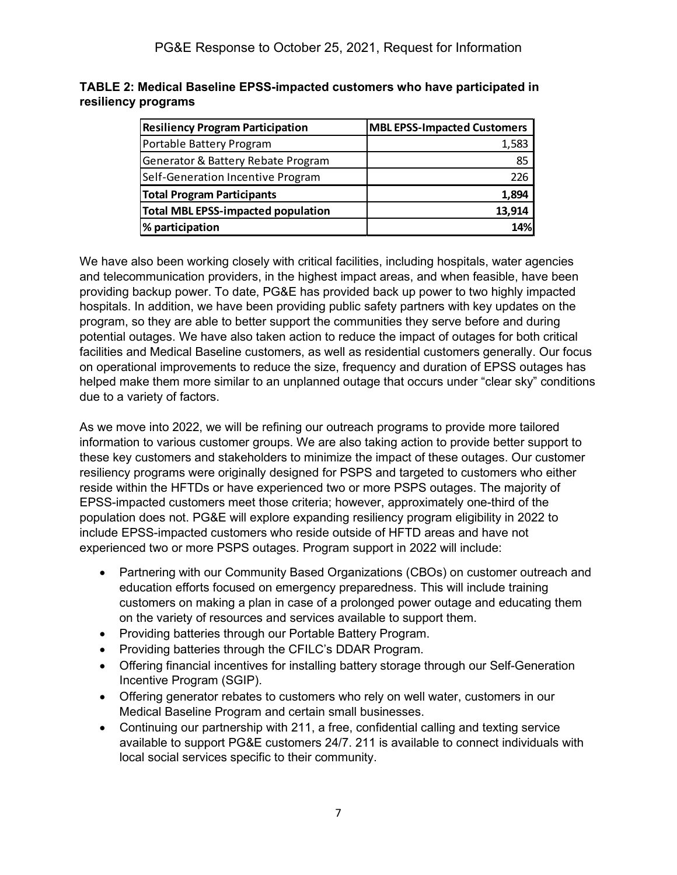#### **TABLE 2: Medical Baseline EPSS-impacted customers who have participated in resiliency programs**

| <b>Resiliency Program Participation</b>   | <b>MBL EPSS-Impacted Customers</b> |
|-------------------------------------------|------------------------------------|
| Portable Battery Program                  | 1,583                              |
| Generator & Battery Rebate Program        | 85                                 |
| Self-Generation Incentive Program         | 226                                |
| <b>Total Program Participants</b>         | 1,894                              |
| <b>Total MBL EPSS-impacted population</b> | 13,914                             |
| % participation                           | 14%                                |

We have also been working closely with critical facilities, including hospitals, water agencies and telecommunication providers, in the highest impact areas, and when feasible, have been providing backup power. To date, PG&E has provided back up power to two highly impacted hospitals. In addition, we have been providing public safety partners with key updates on the program, so they are able to better support the communities they serve before and during potential outages. We have also taken action to reduce the impact of outages for both critical facilities and Medical Baseline customers, as well as residential customers generally. Our focus on operational improvements to reduce the size, frequency and duration of EPSS outages has helped make them more similar to an unplanned outage that occurs under "clear sky" conditions due to a variety of factors.

As we move into 2022, we will be refining our outreach programs to provide more tailored information to various customer groups. We are also taking action to provide better support to these key customers and stakeholders to minimize the impact of these outages. Our customer resiliency programs were originally designed for PSPS and targeted to customers who either reside within the HFTDs or have experienced two or more PSPS outages. The majority of EPSS-impacted customers meet those criteria; however, approximately one-third of the population does not. PG&E will explore expanding resiliency program eligibility in 2022 to include EPSS-impacted customers who reside outside of HFTD areas and have not experienced two or more PSPS outages. Program support in 2022 will include:

- Partnering with our Community Based Organizations (CBOs) on customer outreach and education efforts focused on emergency preparedness. This will include training customers on making a plan in case of a prolonged power outage and educating them on the variety of resources and services available to support them.
- Providing batteries through our Portable Battery Program.
- Providing batteries through the CFILC's DDAR Program.
- Offering financial incentives for installing battery storage through our Self-Generation Incentive Program (SGIP).
- Offering generator rebates to customers who rely on well water, customers in our Medical Baseline Program and certain small businesses.
- Continuing our partnership with 211, a free, confidential calling and texting service available to support PG&E customers 24/7. 211 is available to connect individuals with local social services specific to their community.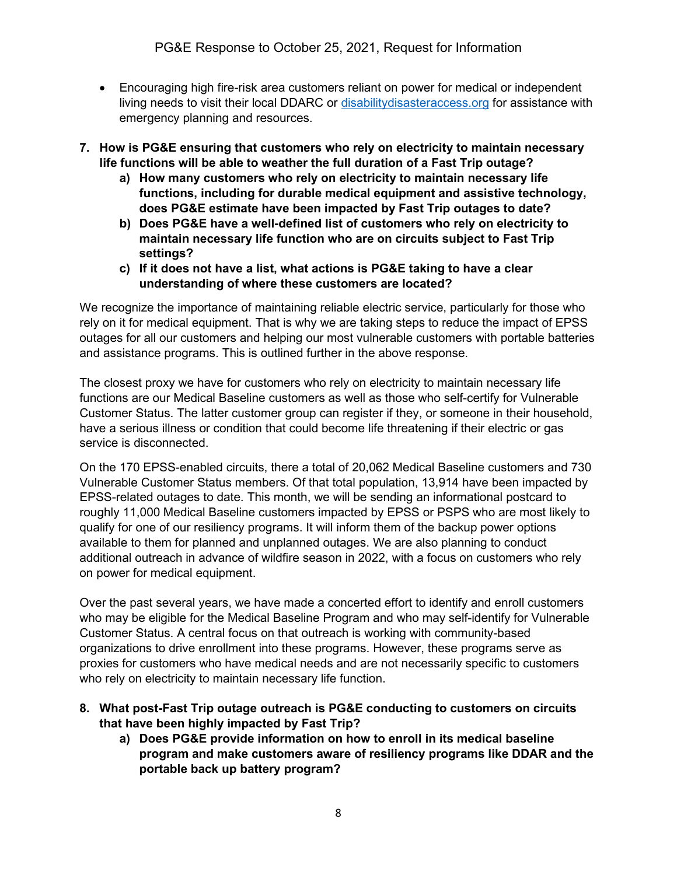- Encouraging high fire-risk area customers reliant on power for medical or independent living needs to visit their local DDARC or [disabilitydisasteraccess.org](https://disabilitydisasteraccess.org/) for assistance with emergency planning and resources.
- **7. How is PG&E ensuring that customers who rely on electricity to maintain necessary life functions will be able to weather the full duration of a Fast Trip outage?**
	- **a) How many customers who rely on electricity to maintain necessary life functions, including for durable medical equipment and assistive technology, does PG&E estimate have been impacted by Fast Trip outages to date?**
	- **b) Does PG&E have a well-defined list of customers who rely on electricity to maintain necessary life function who are on circuits subject to Fast Trip settings?**
	- **c) If it does not have a list, what actions is PG&E taking to have a clear understanding of where these customers are located?**

We recognize the importance of maintaining reliable electric service, particularly for those who rely on it for medical equipment. That is why we are taking steps to reduce the impact of EPSS outages for all our customers and helping our most vulnerable customers with portable batteries and assistance programs. This is outlined further in the above response.

The closest proxy we have for customers who rely on electricity to maintain necessary life functions are our Medical Baseline customers as well as those who self-certify for Vulnerable Customer Status. The latter customer group can register if they, or someone in their household, have a serious illness or condition that could become life threatening if their electric or gas service is disconnected.

On the 170 EPSS-enabled circuits, there a total of 20,062 Medical Baseline customers and 730 Vulnerable Customer Status members. Of that total population, 13,914 have been impacted by EPSS-related outages to date. This month, we will be sending an informational postcard to roughly 11,000 Medical Baseline customers impacted by EPSS or PSPS who are most likely to qualify for one of our resiliency programs. It will inform them of the backup power options available to them for planned and unplanned outages. We are also planning to conduct additional outreach in advance of wildfire season in 2022, with a focus on customers who rely on power for medical equipment.

Over the past several years, we have made a concerted effort to identify and enroll customers who may be eligible for the Medical Baseline Program and who may self-identify for Vulnerable Customer Status. A central focus on that outreach is working with community-based organizations to drive enrollment into these programs. However, these programs serve as proxies for customers who have medical needs and are not necessarily specific to customers who rely on electricity to maintain necessary life function.

- **8. What post-Fast Trip outage outreach is PG&E conducting to customers on circuits that have been highly impacted by Fast Trip?**
	- **a) Does PG&E provide information on how to enroll in its medical baseline program and make customers aware of resiliency programs like DDAR and the portable back up battery program?**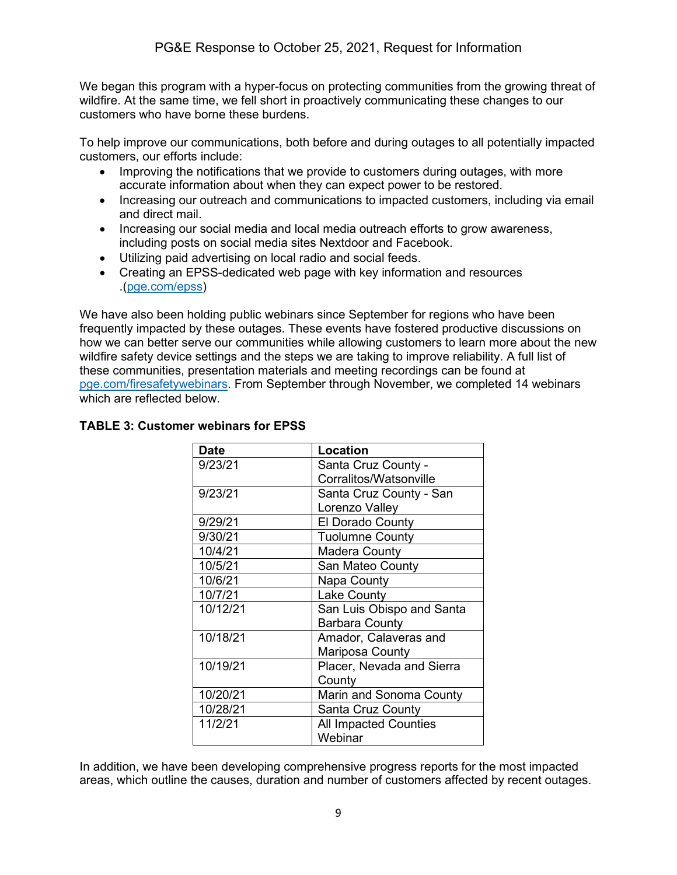We began this program with a hyper-focus on protecting communities from the growing threat of wildfire. At the same time, we fell short in proactively communicating these changes to our customers who have borne these burdens.

To help improve our communications, both before and during outages to all potentially impacted customers, our efforts include:

- Improving the notifications that we provide to customers during outages, with more accurate information about when they can expect power to be restored.
- Increasing our outreach and communications to impacted customers, including via email and direct mail.
- Increasing our social media and local media outreach efforts to grow awareness, including posts on social media sites Nextdoor and Facebook.
- Utilizing paid advertising on local radio and social feeds.
- Creating an EPSS-dedicated web page with key information and resources .[\(pge.com/epss\)](https://www.pge.com/en_US/residential/outages/enhance-powerline-safety-settings/enhance-powerline-safety-settings.page?WT.mc_id=Vanity_epss)

We have also been holding public webinars since September for regions who have been frequently impacted by these outages. These events have fostered productive discussions on how we can better serve our communities while allowing customers to learn more about the new wildfire safety device settings and the steps we are taking to improve reliability. A full list of these communities, presentation materials and meeting recordings can be found at [pge.com/firesafetywebinars.](https://www.pge.com/en_US/safety/emergency-preparedness/natural-disaster/wildfires/community-wildfire-safety-open-house-meetings.page?WT.mc_id=Vanity_firesafetywebinars) From September through November, we completed 14 webinars which are reflected below.

| <b>Date</b> | <b>Location</b>              |  |
|-------------|------------------------------|--|
| 9/23/21     | Santa Cruz County -          |  |
|             | Corralitos/Watsonville       |  |
| 9/23/21     | Santa Cruz County - San      |  |
|             | Lorenzo Valley               |  |
| 9/29/21     | <b>El Dorado County</b>      |  |
| 9/30/21     | <b>Tuolumne County</b>       |  |
| 10/4/21     | Madera County                |  |
| 10/5/21     | San Mateo County             |  |
| 10/6/21     | Napa County                  |  |
| 10/7/21     | <b>Lake County</b>           |  |
| 10/12/21    | San Luis Obispo and Santa    |  |
|             | <b>Barbara County</b>        |  |
| 10/18/21    | Amador, Calaveras and        |  |
|             | Mariposa County              |  |
| 10/19/21    | Placer, Nevada and Sierra    |  |
|             | County                       |  |
| 10/20/21    | Marin and Sonoma County      |  |
| 10/28/21    | Santa Cruz County            |  |
| 11/2/21     | <b>All Impacted Counties</b> |  |
|             | Webinar                      |  |

# **TABLE 3: Customer webinars for EPSS**

In addition, we have been developing comprehensive progress reports for the most impacted areas, which outline the causes, duration and number of customers affected by recent outages.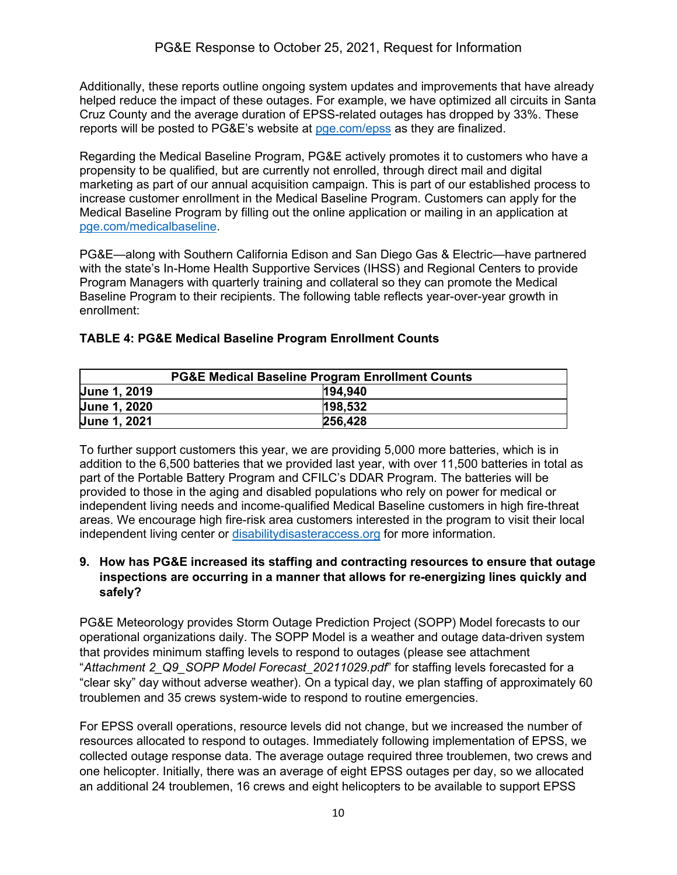Additionally, these reports outline ongoing system updates and improvements that have already helped reduce the impact of these outages. For example, we have optimized all circuits in Santa Cruz County and the average duration of EPSS-related outages has dropped by 33%. These reports will be posted to PG&E's website at [pge.com/epss](http://www.pge.com/epss) as they are finalized.

Regarding the Medical Baseline Program, PG&E actively promotes it to customers who have a propensity to be qualified, but are currently not enrolled, through direct mail and digital marketing as part of our annual acquisition campaign. This is part of our established process to increase customer enrollment in the Medical Baseline Program. Customers can apply for the Medical Baseline Program by filling out the online application or mailing in an application at [pge.com/medicalbaseline.](https://www.pge.com/en_US/residential/save-energy-money/help-paying-your-bill/longer-term-assistance/medical-condition-related/medical-baseline-allowance/medical-baseline-allowance.page?WT.mc_id=Vanity_medicalbaseline)

PG&E—along with Southern California Edison and San Diego Gas & Electric—have partnered with the state's In-Home Health Supportive Services (IHSS) and Regional Centers to provide Program Managers with quarterly training and collateral so they can promote the Medical Baseline Program to their recipients. The following table reflects year-over-year growth in enrollment:

| <b>PG&amp;E Medical Baseline Program Enrollment Counts</b> |  |         |  |
|------------------------------------------------------------|--|---------|--|
| <b>June 1, 2019</b>                                        |  | 194.940 |  |
| <b>June 1, 2020</b>                                        |  | 198,532 |  |
| <b>June 1, 2021</b>                                        |  | 256,428 |  |

# **TABLE 4: PG&E Medical Baseline Program Enrollment Counts**

To further support customers this year, we are providing 5,000 more batteries, which is in addition to the 6,500 batteries that we provided last year, with over 11,500 batteries in total as part of the Portable Battery Program and CFILC's DDAR Program. The batteries will be provided to those in the aging and disabled populations who rely on power for medical or independent living needs and income-qualified Medical Baseline customers in high fire-threat areas. We encourage high fire-risk area customers interested in the program to visit their local independent living center or [disabilitydisasteraccess.org](https://disabilitydisasteraccess.org/) for more information.

## **9. How has PG&E increased its staffing and contracting resources to ensure that outage inspections are occurring in a manner that allows for re-energizing lines quickly and safely?**

PG&E Meteorology provides Storm Outage Prediction Project (SOPP) Model forecasts to our operational organizations daily. The SOPP Model is a weather and outage data-driven system that provides minimum staffing levels to respond to outages (please see attachment "*Attachment 2\_Q9\_SOPP Model Forecast\_20211029.pdf*" for staffing levels forecasted for a "clear sky" day without adverse weather). On a typical day, we plan staffing of approximately 60 troublemen and 35 crews system-wide to respond to routine emergencies.

For EPSS overall operations, resource levels did not change, but we increased the number of resources allocated to respond to outages. Immediately following implementation of EPSS, we collected outage response data. The average outage required three troublemen, two crews and one helicopter. Initially, there was an average of eight EPSS outages per day, so we allocated an additional 24 troublemen, 16 crews and eight helicopters to be available to support EPSS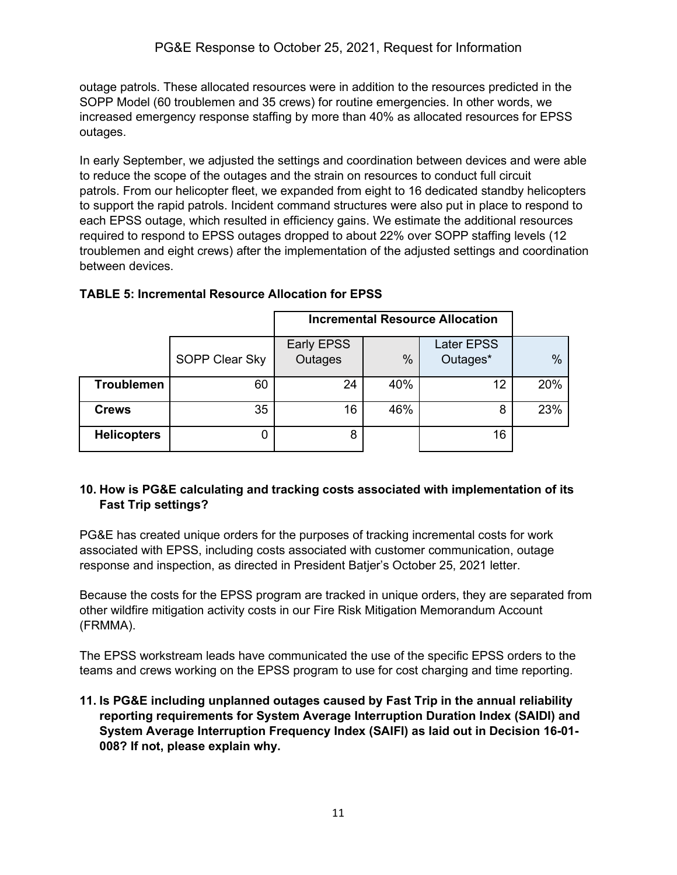outage patrols. These allocated resources were in addition to the resources predicted in the SOPP Model (60 troublemen and 35 crews) for routine emergencies. In other words, we increased emergency response staffing by more than 40% as allocated resources for EPSS outages.

In early September, we adjusted the settings and coordination between devices and were able to reduce the scope of the outages and the strain on resources to conduct full circuit patrols. From our helicopter fleet, we expanded from eight to 16 dedicated standby helicopters to support the rapid patrols. Incident command structures were also put in place to respond to each EPSS outage, which resulted in efficiency gains. We estimate the additional resources required to respond to EPSS outages dropped to about 22% over SOPP staffing levels (12 troublemen and eight crews) after the implementation of the adjusted settings and coordination between devices.

|                    |                | <b>Incremental Resource Allocation</b> |      |                               |               |
|--------------------|----------------|----------------------------------------|------|-------------------------------|---------------|
|                    | SOPP Clear Sky | Early EPSS<br>Outages                  | $\%$ | <b>Later EPSS</b><br>Outages* | $\frac{0}{0}$ |
| <b>Troublemen</b>  | 60             | 24                                     | 40%  | 12                            | 20%           |
| <b>Crews</b>       | 35             | 16                                     | 46%  | 8                             | 23%           |
| <b>Helicopters</b> | 0              | 8                                      |      | 16                            |               |

# **TABLE 5: Incremental Resource Allocation for EPSS**

#### **10. How is PG&E calculating and tracking costs associated with implementation of its Fast Trip settings?**

PG&E has created unique orders for the purposes of tracking incremental costs for work associated with EPSS, including costs associated with customer communication, outage response and inspection, as directed in President Batjer's October 25, 2021 letter.

Because the costs for the EPSS program are tracked in unique orders, they are separated from other wildfire mitigation activity costs in our Fire Risk Mitigation Memorandum Account (FRMMA).

The EPSS workstream leads have communicated the use of the specific EPSS orders to the teams and crews working on the EPSS program to use for cost charging and time reporting.

**11. Is PG&E including unplanned outages caused by Fast Trip in the annual reliability reporting requirements for System Average Interruption Duration Index (SAIDI) and System Average Interruption Frequency Index (SAIFI) as laid out in Decision 16-01- 008? If not, please explain why.**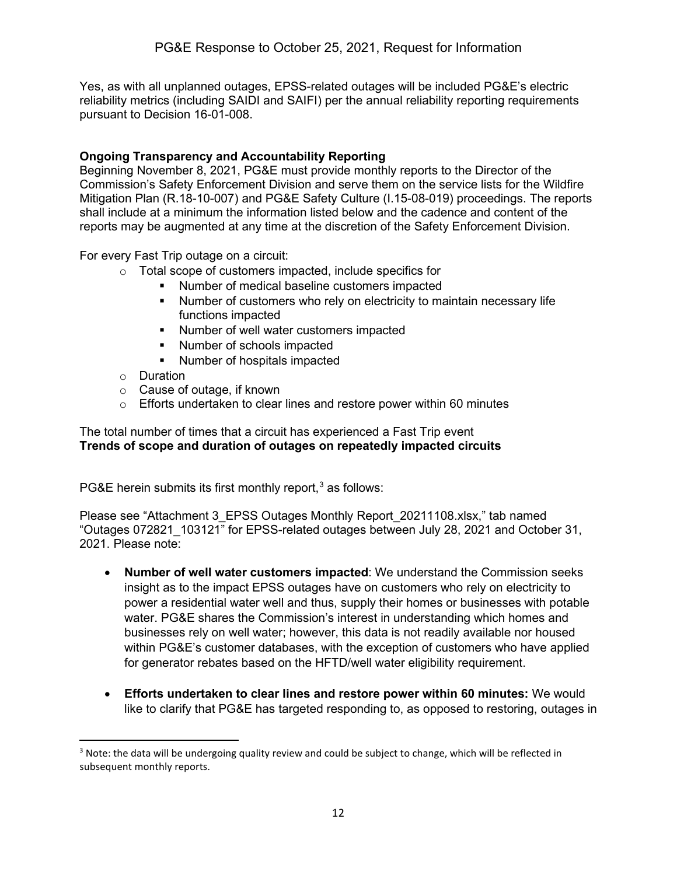Yes, as with all unplanned outages, EPSS-related outages will be included PG&E's electric reliability metrics (including SAIDI and SAIFI) per the annual reliability reporting requirements pursuant to Decision 16-01-008.

### **Ongoing Transparency and Accountability Reporting**

Beginning November 8, 2021, PG&E must provide monthly reports to the Director of the Commission's Safety Enforcement Division and serve them on the service lists for the Wildfire Mitigation Plan (R.18-10-007) and PG&E Safety Culture (I.15-08-019) proceedings. The reports shall include at a minimum the information listed below and the cadence and content of the reports may be augmented at any time at the discretion of the Safety Enforcement Division.

For every Fast Trip outage on a circuit:

- o Total scope of customers impacted, include specifics for
	- **Number of medical baseline customers impacted** 
		- Number of customers who rely on electricity to maintain necessary life functions impacted
		- **Number of well water customers impacted**
		- Number of schools impacted
		- Number of hospitals impacted
- o Duration
- o Cause of outage, if known
- $\circ$  Efforts undertaken to clear lines and restore power within 60 minutes

#### The total number of times that a circuit has experienced a Fast Trip event **Trends of scope and duration of outages on repeatedly impacted circuits**

PG&E herein submits its first monthly report, $3$  as follows:

Please see "Attachment 3\_EPSS Outages Monthly Report\_20211108.xlsx," tab named "Outages 072821\_103121" for EPSS-related outages between July 28, 2021 and October 31, 2021. Please note:

- **Number of well water customers impacted**: We understand the Commission seeks insight as to the impact EPSS outages have on customers who rely on electricity to power a residential water well and thus, supply their homes or businesses with potable water. PG&E shares the Commission's interest in understanding which homes and businesses rely on well water; however, this data is not readily available nor housed within PG&E's customer databases, with the exception of customers who have applied for generator rebates based on the HFTD/well water eligibility requirement.
- **Efforts undertaken to clear lines and restore power within 60 minutes:** We would like to clarify that PG&E has targeted responding to, as opposed to restoring, outages in

<span id="page-11-0"></span> $3$  Note: the data will be undergoing quality review and could be subject to change, which will be reflected in subsequent monthly reports.